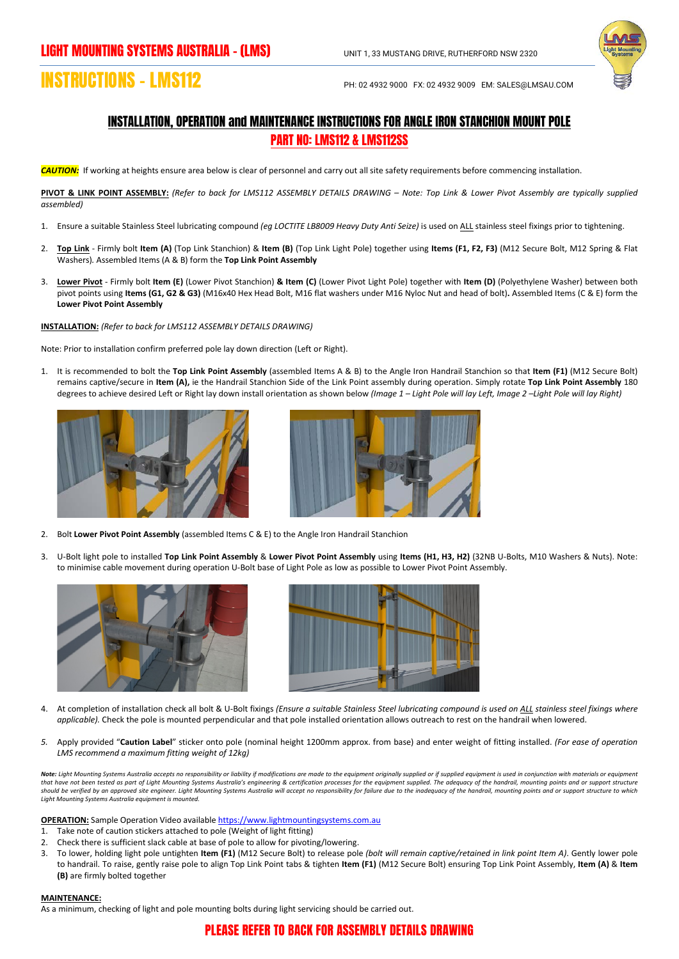

## **INSTRUCTIONS – LMS112** PH: 02 4932 9000 FX: 02 4932 9009 EM: SALES@LMSAU.COM

## INSTALLATION, OPERATION and MAINTENANCE INSTRUCTIONS FOR ANGLE IRON STANCHION MOUNT POLE PART NO: LMS112 & LMS112SS

*CAUTION:*If working at heights ensure area below is clear of personnel and carry out all site safety requirements before commencing installation.

**PIVOT & LINK POINT ASSEMBLY:** *(Refer to back for LMS112 ASSEMBLY DETAILS DRAWING – Note: Top Link & Lower Pivot Assembly are typically supplied assembled)*

- 1. Ensure a suitable Stainless Steel lubricating compound *(eg LOCTITE LB8009 Heavy Duty Anti Seize)* is used on ALL stainless steel fixings prior to tightening.
- 2. **Top Link** Firmly bolt **Item (A)** (Top Link Stanchion) & **Item (B)** (Top Link Light Pole) together using **Items (F1, F2, F3)** (M12 Secure Bolt, M12 Spring & Flat Washers)*.* Assembled Items (A & B) form the **Top Link Point Assembly**
- 3. **Lower Pivot** Firmly bolt **Item (E)** (Lower Pivot Stanchion) **& Item (C)** (Lower Pivot Light Pole) together with **Item (D)** (Polyethylene Washer) between both pivot points using **Items (G1, G2 & G3)** (M16x40 Hex Head Bolt, M16 flat washers under M16 Nyloc Nut and head of bolt)**.** Assembled Items (C & E) form the **Lower Pivot Point Assembly**

**INSTALLATION:** *(Refer to back for LMS112 ASSEMBLY DETAILS DRAWING)*

Note: Prior to installation confirm preferred pole lay down direction (Left or Right).

1. It is recommended to bolt the **Top Link Point Assembly** (assembled Items A & B) to the Angle Iron Handrail Stanchion so that **Item (F1)** (M12 Secure Bolt) remains captive/secure in **Item (A),** ie the Handrail Stanchion Side of the Link Point assembly during operation. Simply rotate **Top Link Point Assembly** 180 degrees to achieve desired Left or Right lay down install orientation as shown below *(Image 1 – Light Pole will lay Left, Image 2 –Light Pole will lay Right)*





- 2. Bolt **Lower Pivot Point Assembly** (assembled Items C & E) to the Angle Iron Handrail Stanchion
- 3. U-Bolt light pole to installed **Top Link Point Assembly** & **Lower Pivot Point Assembly** using **Items (H1, H3, H2)** (32NB U-Bolts, M10 Washers & Nuts). Note: to minimise cable movement during operation U-Bolt base of Light Pole as low as possible to Lower Pivot Point Assembly.





- 4. At completion of installation check all bolt & U-Bolt fixings *(Ensure a suitable Stainless Steel lubricating compound is used on ALL stainless steel fixings where applicable).* Check the pole is mounted perpendicular and that pole installed orientation allows outreach to rest on the handrail when lowered.
- *5.* Apply provided "**Caution Label**" sticker onto pole (nominal height 1200mm approx. from base) and enter weight of fitting installed. *(For ease of operation LMS recommend a maximum fitting weight of 12kg)*

Note: Light Mounting Systems Australia accepts no responsibility or liability if modifications are made to the equipment originally supplied or if supplied equipment is used in conjunction with materials or equipment *that have not been tested as part of Light Mounting Systems Australia's engineering & certification processes for the equipment supplied. The adequacy of the handrail, mounting points and or support structure should be verified by an approved site engineer. Light Mounting Systems Australia will accept no responsibility for failure due to the inadequacy of the handrail, mounting points and or support structure to which Light Mounting Systems Australia equipment is mounted.*

**OPERATION:** Sample Operation Video availabl[e https://www.lightmountingsystems.com.au](https://www.lightmountingsystems.com.au/)

- 1. Take note of caution stickers attached to pole (Weight of light fitting)
- 2. Check there is sufficient slack cable at base of pole to allow for pivoting/lowering.
- 3. To lower, holding light pole untighten **Item (F1)** (M12 Secure Bolt) to release pole *(bolt will remain captive/retained in link point Item A)*. Gently lower pole to handrail. To raise, gently raise pole to align Top Link Point tabs & tighten **Item (F1)** (M12 Secure Bolt) ensuring Top Link Point Assembly, **Item (A)** & **Item (B)** are firmly bolted together

## **MAINTENANCE:**

As a minimum, checking of light and pole mounting bolts during light servicing should be carried out.

## PLEASE REFER TO BACK FOR ASSEMBLY DETAILS DRAWING